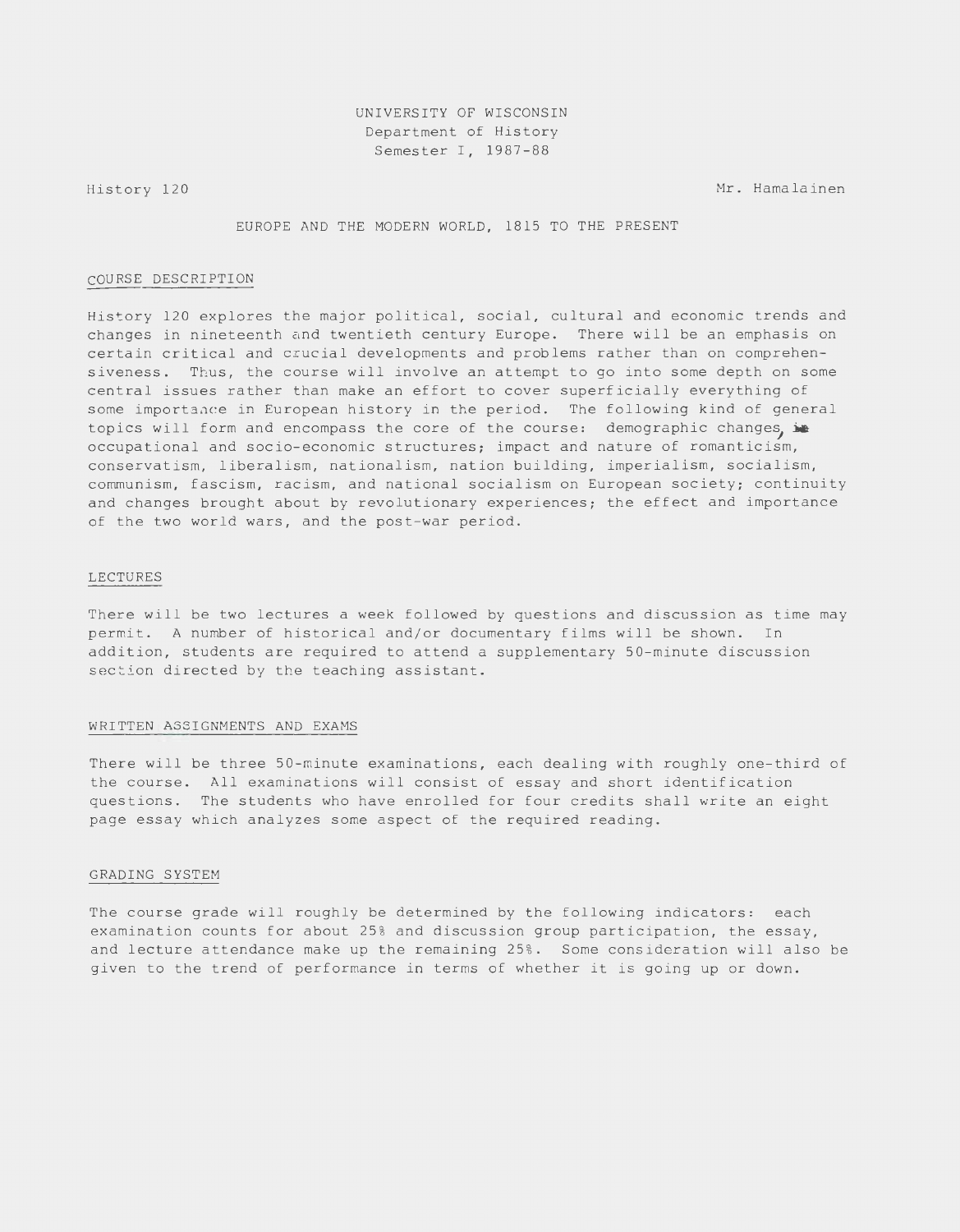History 120 Mr. Hamalainen

EUROPE AND THE MODERN WORLD, 1815 TO THE PRESENT

## COURSE DESCRIPTION

History 120 explores the major political, social, cultural and economic trends and changes in nineteenth and twentieth century Europe. There will be an emphasis on certain critical and crucial developments and problems rather than on comprehensiveness. Thus, the course will involve an attempt to go into some depth on some central issues rather than make an effort to cover superficially everything of some importance in European history in the period. The following kind of general topics will form and encompass the core of the course: demographic changes, in occupational and socio-economic structures; impact and nature of romanticism, conservatism, liberalism, nationalism, nation building, imperialism, socialism, communism, fascism, racism, and national socialism on European society; continuity and changes brought about by revolutionary experiences; the effect and importance of the two world wars, and the post-war period.

## LECTURES

There will be two lectures a week followed by questions and discussion as time may permit. A number of historical and/or documentary films will be shown. In addition, students are required to attend a supplementary 50-minute discussion section directed by the teaching assistant.

### WRITTEN ASSIGNMENTS AND EXAMS

There will be three 50-minute examinations, each dealing with roughly one-third of the course. All examinations will consist of essay and short identification questions. The students who have enrolled for four credits shall write an eight page essay which analyzes some aspect of the required reading.

#### GRADING SYSTEM

The course grade will roughly be determined by the following indicators: each examination counts for about 25% and discussion group participation, the essay, and lecture attendance make up the remaining 25%. Some consideration will also be given to the trend of performance in terms of whether it is going up or down.